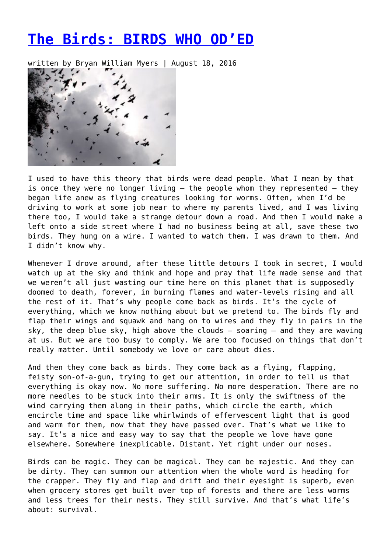## **[The Birds: BIRDS WHO OD'ED](https://entropymag.org/the-birds-birds-who-oded/)**

written by Bryan William Myers | August 18, 2016



I used to have this theory that birds were dead people. What I mean by that is once they were no longer living — the people whom they represented — they began life anew as flying creatures looking for worms. Often, when I'd be driving to work at some job near to where my parents lived, and I was living there too, I would take a strange detour down a road. And then I would make a left onto a side street where I had no business being at all, save these two birds. They hung on a wire. I wanted to watch them. I was drawn to them. And I didn't know why.

Whenever I drove around, after these little detours I took in secret, I would watch up at the sky and think and hope and pray that life made sense and that we weren't all just wasting our time here on this planet that is supposedly doomed to death, forever, in burning flames and water-levels rising and all the rest of it. That's why people come back as birds. It's the cycle of everything, which we know nothing about but we pretend to. The birds fly and flap their wings and squawk and hang on to wires and they fly in pairs in the sky, the deep blue sky, high above the clouds — soaring — and they are waving at us. But we are too busy to comply. We are too focused on things that don't really matter. Until somebody we love or care about dies.

And then they come back as birds. They come back as a flying, flapping, feisty son-of-a-gun, trying to get our attention, in order to tell us that everything is okay now. No more suffering. No more desperation. There are no more needles to be stuck into their arms. It is only the swiftness of the wind carrying them along in their paths, which circle the earth, which encircle time and space like whirlwinds of effervescent light that is good and warm for them, now that they have passed over. That's what we like to say. It's a nice and easy way to say that the people we love have gone elsewhere. Somewhere inexplicable. Distant. Yet right under our noses.

Birds can be magic. They can be magical. They can be majestic. And they can be dirty. They can summon our attention when the whole word is heading for the crapper. They fly and flap and drift and their eyesight is superb, even when grocery stores get built over top of forests and there are less worms and less trees for their nests. They still survive. And that's what life's about: survival.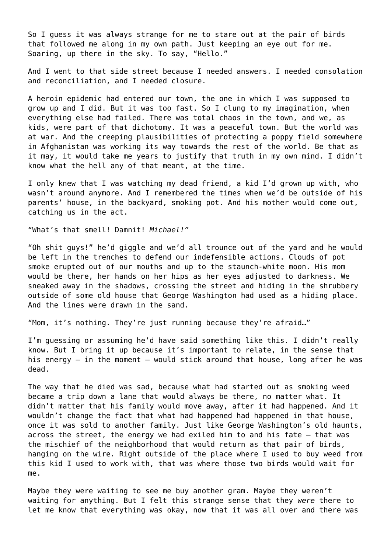So I guess it was always strange for me to stare out at the pair of birds that followed me along in my own path. Just keeping an eye out for me. Soaring, up there in the sky. To say, "Hello."

And I went to that side street because I needed answers. I needed consolation and reconciliation, and I needed closure.

A heroin epidemic had entered our town, the one in which I was supposed to grow up and I did. But it was too fast. So I clung to my imagination, when everything else had failed. There was total chaos in the town, and we, as kids, were part of that dichotomy. It was a peaceful town. But the world was at war. And the creeping plausibilities of protecting a poppy field somewhere in Afghanistan was working its way towards the rest of the world. Be that as it may, it would take me years to justify that truth in my own mind. I didn't know what the hell any of that meant, at the time.

I only knew that I was watching my dead friend, a kid I'd grown up with, who wasn't around anymore. And I remembered the times when we'd be outside of his parents' house, in the backyard, smoking pot. And his mother would come out, catching us in the act.

"What's that smell! Damnit! *Michael!"*

"Oh shit guys!" he'd giggle and we'd all trounce out of the yard and he would be left in the trenches to defend our indefensible actions. Clouds of pot smoke erupted out of our mouths and up to the staunch-white moon. His mom would be there, her hands on her hips as her eyes adjusted to darkness. We sneaked away in the shadows, crossing the street and hiding in the shrubbery outside of some old house that George Washington had used as a hiding place. And the lines were drawn in the sand.

"Mom, it's nothing. They're just running because they're afraid…"

I'm guessing or assuming he'd have said something like this. I didn't really know. But I bring it up because it's important to relate, in the sense that his energy — in the moment — would stick around that house, long after he was dead.

The way that he died was sad, because what had started out as smoking weed became a trip down a lane that would always be there, no matter what. It didn't matter that his family would move away, after it had happened. And it wouldn't change the fact that what had happened had happened in that house, once it was sold to another family. Just like George Washington's old haunts, across the street, the energy we had exiled him to and his fate — that was the mischief of the neighborhood that would return as that pair of birds, hanging on the wire. Right outside of the place where I used to buy weed from this kid I used to work with, that was where those two birds would wait for me.

Maybe they were waiting to see me buy another gram. Maybe they weren't waiting for anything. But I felt this strange sense that they *were* there to let me know that everything was okay, now that it was all over and there was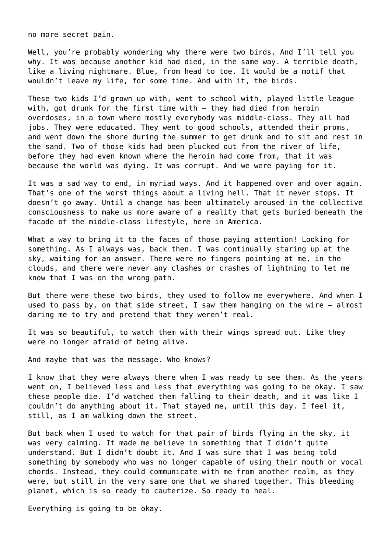no more secret pain.

Well, you're probably wondering why there were two birds. And I'll tell you why. It was because another kid had died, in the same way. A terrible death, like a living nightmare. Blue, from head to toe. It would be a motif that wouldn't leave my life, for some time. And with it, the birds.

These two kids I'd grown up with, went to school with, played little league with, got drunk for the first time with — they had died from heroin overdoses, in a town where mostly everybody was middle-class. They all had jobs. They were educated. They went to good schools, attended their proms, and went down the shore during the summer to get drunk and to sit and rest in the sand. Two of those kids had been plucked out from the river of life, before they had even known where the heroin had come from, that it was because the world was dying. It was corrupt. And we were paying for it.

It was a sad way to end, in myriad ways. And it happened over and over again. That's one of the worst things about a living hell. That it never stops. It doesn't go away. Until a change has been ultimately aroused in the collective consciousness to make us more aware of a reality that gets buried beneath the facade of the middle-class lifestyle, here in America.

What a way to bring it to the faces of those paying attention! Looking for something. As I always was, back then. I was continually staring up at the sky, waiting for an answer. There were no fingers pointing at me, in the clouds, and there were never any clashes or crashes of lightning to let me know that I was on the wrong path.

But there were these two birds, they used to follow me everywhere. And when I used to pass by, on that side street, I saw them hanging on the wire  $-$  almost daring me to try and pretend that they weren't real.

It was so beautiful, to watch them with their wings spread out. Like they were no longer afraid of being alive.

And maybe that was the message. Who knows?

I know that they were always there when I was ready to see them. As the years went on, I believed less and less that everything was going to be okay. I saw these people die. I'd watched them falling to their death, and it was like I couldn't do anything about it. That stayed me, until this day. I feel it, still, as I am walking down the street.

But back when I used to watch for that pair of birds flying in the sky, it was very calming. It made me believe in something that I didn't quite understand. But I didn't doubt it. And I was sure that I was being told something by somebody who was no longer capable of using their mouth or vocal chords. Instead, they could communicate with me from another realm, as they were, but still in the very same one that we shared together. This bleeding planet, which is so ready to cauterize. So ready to heal.

Everything is going to be okay.